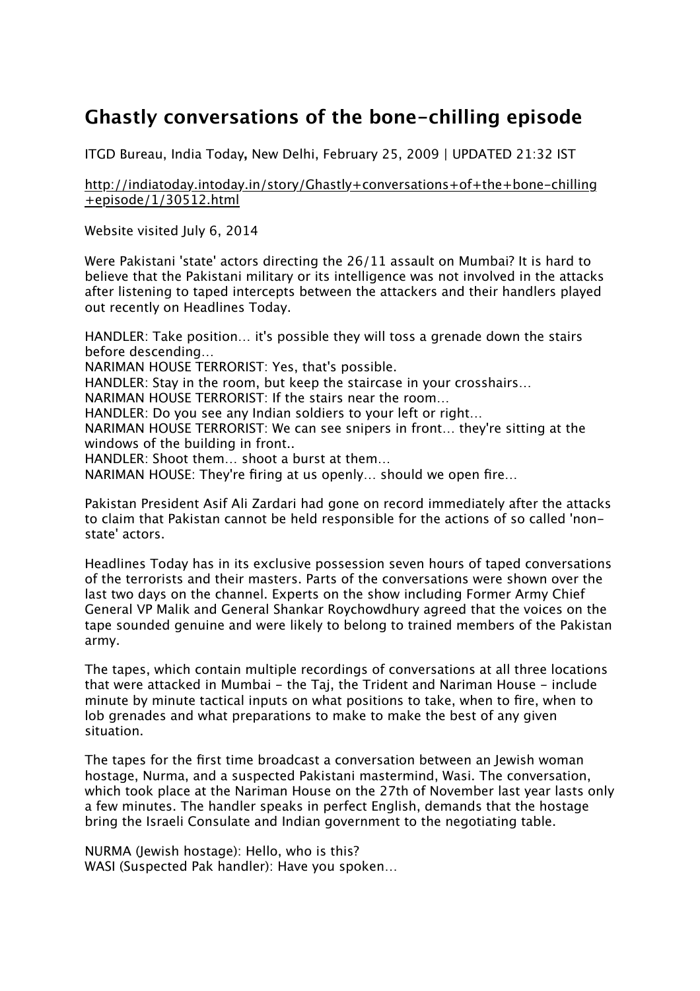## **Ghastly conversations of the bone-chilling episode**

ITGD Bureau, India Today**,** New Delhi, February 25, 2009 | UPDATED 21:32 IST

http://indiatoday.intoday.in/story/Ghastly+conversations+of+the+bone-chilling +episode/1/30512.html

Website visited July 6, 2014

Were Pakistani 'state' actors directing the 26/11 assault on Mumbai? It is hard to believe that the Pakistani military or its intelligence was not involved in the attacks after listening to taped intercepts between the attackers and their handlers played out recently on Headlines Today.

HANDLER: Take position… it's possible they will toss a grenade down the stairs before descending…

NARIMAN HOUSE TERRORIST: Yes, that's possible.

HANDLER: Stay in the room, but keep the staircase in your crosshairs…

NARIMAN HOUSE TERRORIST: If the stairs near the room…

HANDLER: Do you see any Indian soldiers to your left or right…

NARIMAN HOUSE TERRORIST: We can see snipers in front… they're sitting at the windows of the building in front..

HANDLER: Shoot them… shoot a burst at them…

NARIMAN HOUSE: They're firing at us openly… should we open fire…

Pakistan President Asif Ali Zardari had gone on record immediately after the attacks to claim that Pakistan cannot be held responsible for the actions of so called 'nonstate' actors.

Headlines Today has in its exclusive possession seven hours of taped conversations of the terrorists and their masters. Parts of the conversations were shown over the last two days on the channel. Experts on the show including Former Army Chief General VP Malik and General Shankar Roychowdhury agreed that the voices on the tape sounded genuine and were likely to belong to trained members of the Pakistan army.

The tapes, which contain multiple recordings of conversations at all three locations that were attacked in Mumbai - the Taj, the Trident and Nariman House - include minute by minute tactical inputs on what positions to take, when to fire, when to lob grenades and what preparations to make to make the best of any given situation.

The tapes for the first time broadcast a conversation between an Jewish woman hostage, Nurma, and a suspected Pakistani mastermind, Wasi. The conversation, which took place at the Nariman House on the 27th of November last year lasts only a few minutes. The handler speaks in perfect English, demands that the hostage bring the Israeli Consulate and Indian government to the negotiating table.

NURMA (Jewish hostage): Hello, who is this? WASI (Suspected Pak handler): Have you spoken…